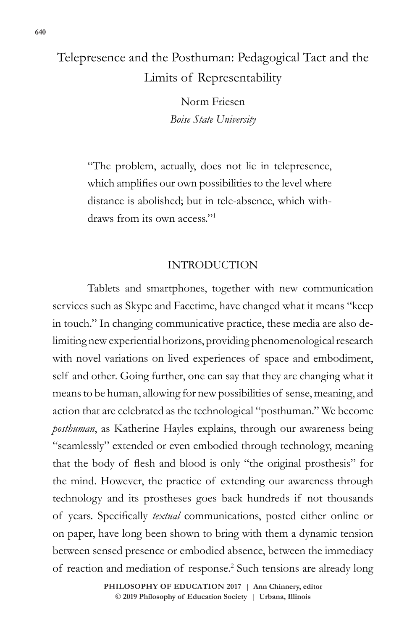## Telepresence and the Posthuman: Pedagogical Tact and the Limits of Representability

Norm Friesen *Boise State University*

"The problem, actually, does not lie in telepresence, which amplifies our own possibilities to the level where distance is abolished; but in tele-absence, which withdraws from its own access."<sup>1</sup>

## INTRODUCTION

Tablets and smartphones, together with new communication services such as Skype and Facetime, have changed what it means "keep in touch." In changing communicative practice, these media are also delimiting new experiential horizons, providing phenomenological research with novel variations on lived experiences of space and embodiment, self and other. Going further, one can say that they are changing what it means to be human, allowing for new possibilities of sense, meaning, and action that are celebrated as the technological "posthuman." We become *posthuman*, as Katherine Hayles explains, through our awareness being "seamlessly" extended or even embodied through technology, meaning that the body of flesh and blood is only "the original prosthesis" for the mind. However, the practice of extending our awareness through technology and its prostheses goes back hundreds if not thousands of years. Specifically *textual* communications, posted either online or on paper, have long been shown to bring with them a dynamic tension between sensed presence or embodied absence, between the immediacy of reaction and mediation of response.<sup>2</sup> Such tensions are already long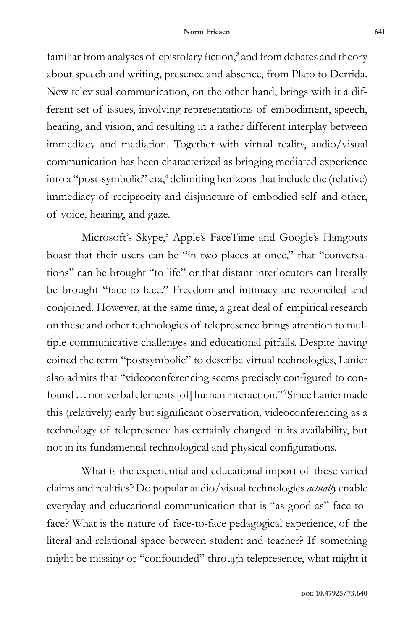familiar from analyses of epistolary fiction,<sup>3</sup> and from debates and theory about speech and writing, presence and absence, from Plato to Derrida. New televisual communication, on the other hand, brings with it a different set of issues, involving representations of embodiment, speech, hearing, and vision, and resulting in a rather different interplay between immediacy and mediation. Together with virtual reality, audio/visual communication has been characterized as bringing mediated experience into a "post-symbolic" era,<sup>4</sup> delimiting horizons that include the (relative) immediacy of reciprocity and disjuncture of embodied self and other, of voice, hearing, and gaze.

Microsoft's Skype,<sup>5</sup> Apple's FaceTime and Google's Hangouts boast that their users can be "in two places at once," that "conversations" can be brought "to life" or that distant interlocutors can literally be brought "face-to-face." Freedom and intimacy are reconciled and conjoined. However, at the same time, a great deal of empirical research on these and other technologies of telepresence brings attention to multiple communicative challenges and educational pitfalls. Despite having coined the term "postsymbolic" to describe virtual technologies, Lanier also admits that "videoconferencing seems precisely configured to confound … nonverbal elements [of] human interaction."<sup>6</sup> Since Lanier made this (relatively) early but significant observation, videoconferencing as a technology of telepresence has certainly changed in its availability, but not in its fundamental technological and physical configurations.

What is the experiential and educational import of these varied claims and realities? Do popular audio/visual technologies *actually* enable everyday and educational communication that is "as good as" face-toface? What is the nature of face-to-face pedagogical experience, of the literal and relational space between student and teacher? If something might be missing or "confounded" through telepresence, what might it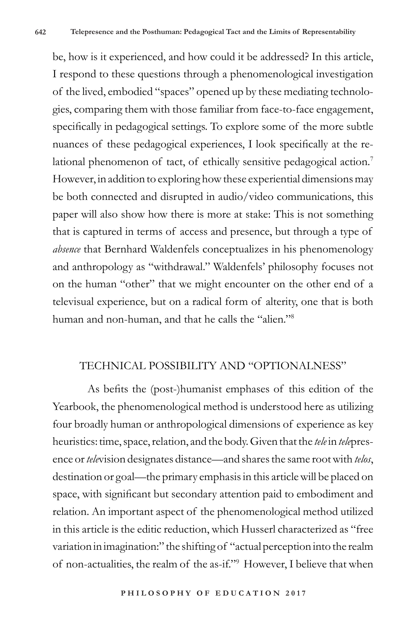be, how is it experienced, and how could it be addressed? In this article, I respond to these questions through a phenomenological investigation of the lived, embodied "spaces" opened up by these mediating technologies, comparing them with those familiar from face-to-face engagement, specifically in pedagogical settings. To explore some of the more subtle nuances of these pedagogical experiences, I look specifically at the relational phenomenon of tact, of ethically sensitive pedagogical action.<sup>7</sup> However, in addition to exploring how these experiential dimensions may be both connected and disrupted in audio/video communications, this paper will also show how there is more at stake: This is not something that is captured in terms of access and presence, but through a type of *absence* that Bernhard Waldenfels conceptualizes in his phenomenology and anthropology as "withdrawal." Waldenfels' philosophy focuses not on the human "other" that we might encounter on the other end of a televisual experience, but on a radical form of alterity, one that is both human and non-human, and that he calls the "alien."8

## TECHNICAL POSSIBILITY AND "OPTIONALNESS"

As befits the (post-)humanist emphases of this edition of the Yearbook, the phenomenological method is understood here as utilizing four broadly human or anthropological dimensions of experience as key heuristics: time, space, relation, and the body. Given that the *tele* in *tele*presence or *tele*vision designates distance—and shares the same root with *telos*, destination or goal—the primary emphasis in this article will be placed on space, with significant but secondary attention paid to embodiment and relation. An important aspect of the phenomenological method utilized in this article is the editic reduction, which Husserl characterized as "free variation in imagination:" the shifting of "actual perception into the realm of non-actualities, the realm of the as-if."9 However, I believe that when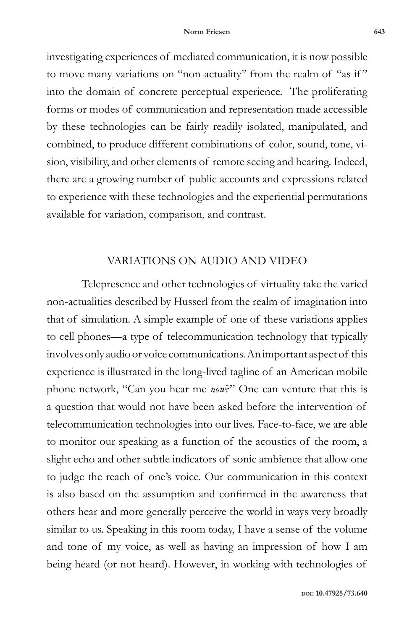investigating experiences of mediated communication, it is now possible to move many variations on "non-actuality" from the realm of "as if " into the domain of concrete perceptual experience. The proliferating forms or modes of communication and representation made accessible by these technologies can be fairly readily isolated, manipulated, and combined, to produce different combinations of color, sound, tone, vision, visibility, and other elements of remote seeing and hearing. Indeed, there are a growing number of public accounts and expressions related to experience with these technologies and the experiential permutations available for variation, comparison, and contrast.

## VARIATIONS ON AUDIO AND VIDEO

Telepresence and other technologies of virtuality take the varied non-actualities described by Husserl from the realm of imagination into that of simulation. A simple example of one of these variations applies to cell phones—a type of telecommunication technology that typically involves only audio or voice communications. An important aspect of this experience is illustrated in the long-lived tagline of an American mobile phone network, "Can you hear me *now*?" One can venture that this is a question that would not have been asked before the intervention of telecommunication technologies into our lives. Face-to-face, we are able to monitor our speaking as a function of the acoustics of the room, a slight echo and other subtle indicators of sonic ambience that allow one to judge the reach of one's voice. Our communication in this context is also based on the assumption and confirmed in the awareness that others hear and more generally perceive the world in ways very broadly similar to us. Speaking in this room today, I have a sense of the volume and tone of my voice, as well as having an impression of how I am being heard (or not heard). However, in working with technologies of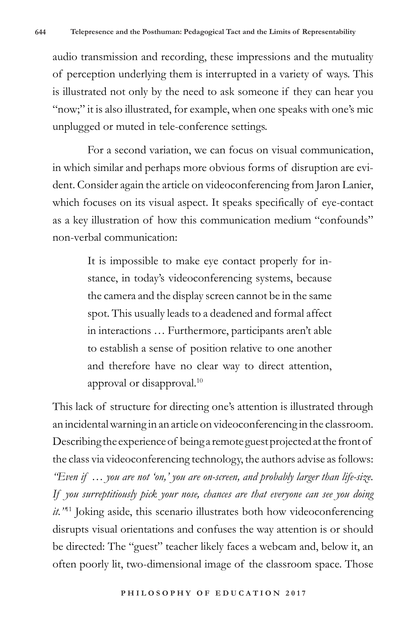audio transmission and recording, these impressions and the mutuality of perception underlying them is interrupted in a variety of ways. This is illustrated not only by the need to ask someone if they can hear you "now;" it is also illustrated, for example, when one speaks with one's mic unplugged or muted in tele-conference settings.

For a second variation, we can focus on visual communication, in which similar and perhaps more obvious forms of disruption are evident. Consider again the article on videoconferencing from Jaron Lanier, which focuses on its visual aspect. It speaks specifically of eye-contact as a key illustration of how this communication medium "confounds" non-verbal communication:

> It is impossible to make eye contact properly for instance, in today's videoconferencing systems, because the camera and the display screen cannot be in the same spot. This usually leads to a deadened and formal affect in interactions … Furthermore, participants aren't able to establish a sense of position relative to one another and therefore have no clear way to direct attention, approval or disapproval.<sup>10</sup>

This lack of structure for directing one's attention is illustrated through an incidental warning in an article on videoconferencing in the classroom. Describing the experience of being a remote guest projected at the front of the class via videoconferencing technology, the authors advise as follows: *"Even if … you are not 'on,' you are on-screen, and probably larger than life-size. If you surreptitiously pick your nose, chances are that everyone can see you doing it."*<sup>11</sup> Joking aside, this scenario illustrates both how videoconferencing disrupts visual orientations and confuses the way attention is or should be directed: The "guest" teacher likely faces a webcam and, below it, an often poorly lit, two-dimensional image of the classroom space. Those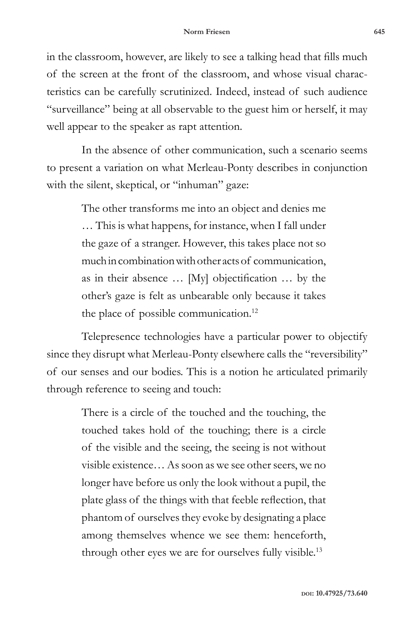in the classroom, however, are likely to see a talking head that fills much of the screen at the front of the classroom, and whose visual characteristics can be carefully scrutinized. Indeed, instead of such audience "surveillance" being at all observable to the guest him or herself, it may well appear to the speaker as rapt attention.

In the absence of other communication, such a scenario seems to present a variation on what Merleau-Ponty describes in conjunction with the silent, skeptical, or "inhuman" gaze:

> The other transforms me into an object and denies me … This is what happens, for instance, when I fall under the gaze of a stranger. However, this takes place not so much in combination with other acts of communication, as in their absence … [My] objectification … by the other's gaze is felt as unbearable only because it takes the place of possible communication.<sup>12</sup>

Telepresence technologies have a particular power to objectify since they disrupt what Merleau-Ponty elsewhere calls the "reversibility" of our senses and our bodies. This is a notion he articulated primarily through reference to seeing and touch:

> There is a circle of the touched and the touching, the touched takes hold of the touching; there is a circle of the visible and the seeing, the seeing is not without visible existence… As soon as we see other seers, we no longer have before us only the look without a pupil, the plate glass of the things with that feeble reflection, that phantom of ourselves they evoke by designating a place among themselves whence we see them: henceforth, through other eyes we are for ourselves fully visible.<sup>13</sup>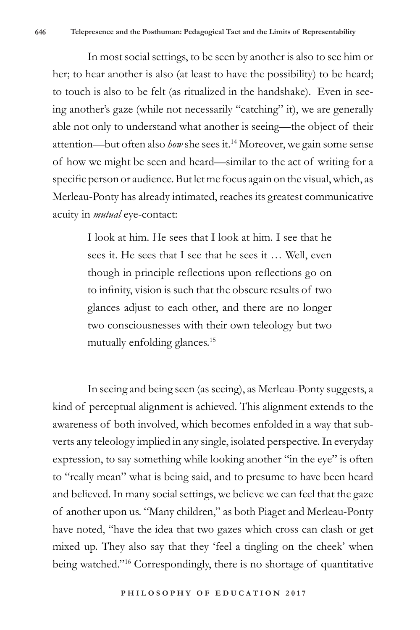In most social settings, to be seen by another is also to see him or her; to hear another is also (at least to have the possibility) to be heard; to touch is also to be felt (as ritualized in the handshake). Even in seeing another's gaze (while not necessarily "catching" it), we are generally able not only to understand what another is seeing—the object of their attention—but often also *how* she sees it.14 Moreover, we gain some sense of how we might be seen and heard—similar to the act of writing for a specific person or audience. But let me focus again on the visual, which, as Merleau-Ponty has already intimated, reaches its greatest communicative acuity in *mutual* eye-contact:

> I look at him. He sees that I look at him. I see that he sees it. He sees that I see that he sees it … Well, even though in principle reflections upon reflections go on to infinity, vision is such that the obscure results of two glances adjust to each other, and there are no longer two consciousnesses with their own teleology but two mutually enfolding glances.<sup>15</sup>

In seeing and being seen (as seeing), as Merleau-Ponty suggests, a kind of perceptual alignment is achieved. This alignment extends to the awareness of both involved, which becomes enfolded in a way that subverts any teleology implied in any single, isolated perspective. In everyday expression, to say something while looking another "in the eye" is often to "really mean" what is being said, and to presume to have been heard and believed. In many social settings, we believe we can feel that the gaze of another upon us. "Many children," as both Piaget and Merleau-Ponty have noted, "have the idea that two gazes which cross can clash or get mixed up. They also say that they 'feel a tingling on the cheek' when being watched."16 Correspondingly, there is no shortage of quantitative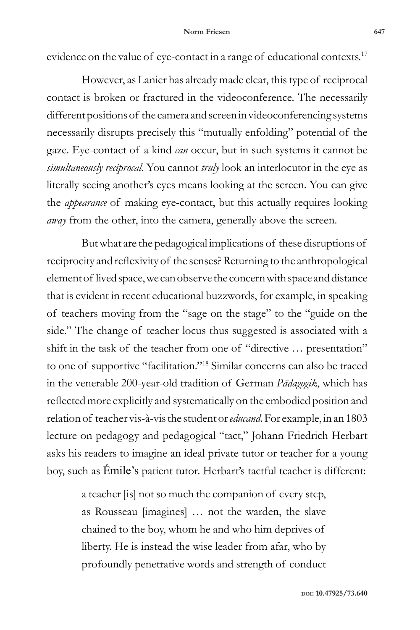evidence on the value of eye-contact in a range of educational contexts.<sup>17</sup>

However, as Lanier has already made clear, this type of reciprocal contact is broken or fractured in the videoconference. The necessarily different positions of the camera and screen in videoconferencing systems necessarily disrupts precisely this "mutually enfolding" potential of the gaze. Eye-contact of a kind *can* occur, but in such systems it cannot be *simultaneously reciprocal*. You cannot *truly* look an interlocutor in the eye as literally seeing another's eyes means looking at the screen. You can give the *appearance* of making eye-contact, but this actually requires looking *away* from the other, into the camera, generally above the screen.

But what are the pedagogical implications of these disruptions of reciprocity and reflexivity of the senses? Returning to the anthropological element of lived space, we can observe the concern with space and distance that is evident in recent educational buzzwords, for example, in speaking of teachers moving from the "sage on the stage" to the "guide on the side." The change of teacher locus thus suggested is associated with a shift in the task of the teacher from one of "directive … presentation" to one of supportive "facilitation."<sup>18</sup> Similar concerns can also be traced in the venerable 200-year-old tradition of German *Pädagogik*, which has reflected more explicitly and systematically on the embodied position and relation of teacher vis-à-vis the student or *educand*. For example, in an 1803 lecture on pedagogy and pedagogical "tact," Johann Friedrich Herbart asks his readers to imagine an ideal private tutor or teacher for a young boy, such as Émile's patient tutor. Herbart's tactful teacher is different:

> a teacher [is] not so much the companion of every step, as Rousseau [imagines] … not the warden, the slave chained to the boy, whom he and who him deprives of liberty. He is instead the wise leader from afar, who by profoundly penetrative words and strength of conduct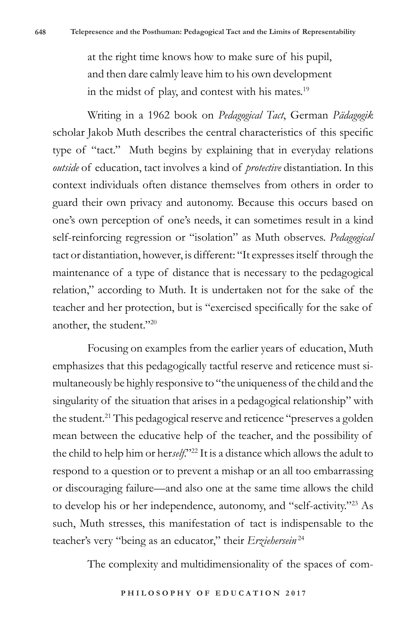at the right time knows how to make sure of his pupil, and then dare calmly leave him to his own development in the midst of play, and contest with his mates.<sup>19</sup>

Writing in a 1962 book on *Pedagogical Tact*, German *Pädagogik*  scholar Jakob Muth describes the central characteristics of this specific type of "tact." Muth begins by explaining that in everyday relations *outside* of education, tact involves a kind of *protective* distantiation. In this context individuals often distance themselves from others in order to guard their own privacy and autonomy. Because this occurs based on one's own perception of one's needs, it can sometimes result in a kind self-reinforcing regression or "isolation" as Muth observes. *Pedagogical* tact or distantiation, however, is different: "It expresses itself through the maintenance of a type of distance that is necessary to the pedagogical relation," according to Muth. It is undertaken not for the sake of the teacher and her protection, but is "exercised specifically for the sake of another, the student."20

Focusing on examples from the earlier years of education, Muth emphasizes that this pedagogically tactful reserve and reticence must simultaneously be highly responsive to "the uniqueness of the child and the singularity of the situation that arises in a pedagogical relationship" with the student.<sup>21</sup> This pedagogical reserve and reticence "preserves a golden" mean between the educative help of the teacher, and the possibility of the child to help him or her*self*."22 It is a distance which allows the adult to respond to a question or to prevent a mishap or an all too embarrassing or discouraging failure—and also one at the same time allows the child to develop his or her independence, autonomy, and "self-activity."23 As such, Muth stresses, this manifestation of tact is indispensable to the teacher's very "being as an educator," their *Erziehersein* <sup>24</sup>

The complexity and multidimensionality of the spaces of com-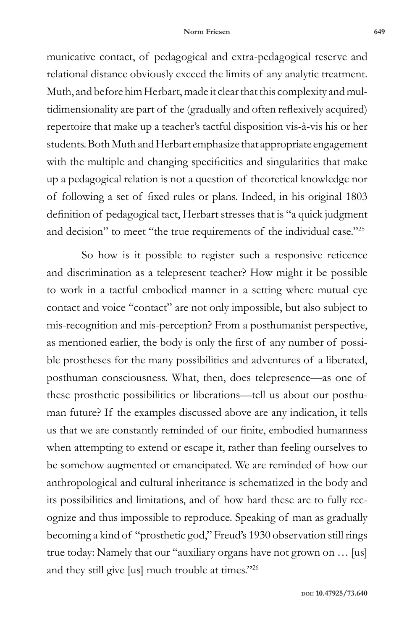municative contact, of pedagogical and extra-pedagogical reserve and relational distance obviously exceed the limits of any analytic treatment. Muth, and before him Herbart, made it clear that this complexity and multidimensionality are part of the (gradually and often reflexively acquired) repertoire that make up a teacher's tactful disposition vis-à-vis his or her students. Both Muth and Herbart emphasize that appropriate engagement with the multiple and changing specificities and singularities that make up a pedagogical relation is not a question of theoretical knowledge nor of following a set of fixed rules or plans. Indeed, in his original 1803 definition of pedagogical tact, Herbart stresses that is "a quick judgment and decision" to meet "the true requirements of the individual case."<sup>25</sup>

So how is it possible to register such a responsive reticence and discrimination as a telepresent teacher? How might it be possible to work in a tactful embodied manner in a setting where mutual eye contact and voice "contact" are not only impossible, but also subject to mis-recognition and mis-perception? From a posthumanist perspective, as mentioned earlier, the body is only the first of any number of possible prostheses for the many possibilities and adventures of a liberated, posthuman consciousness. What, then, does telepresence—as one of these prosthetic possibilities or liberations—tell us about our posthuman future? If the examples discussed above are any indication, it tells us that we are constantly reminded of our finite, embodied humanness when attempting to extend or escape it, rather than feeling ourselves to be somehow augmented or emancipated. We are reminded of how our anthropological and cultural inheritance is schematized in the body and its possibilities and limitations, and of how hard these are to fully recognize and thus impossible to reproduce. Speaking of man as gradually becoming a kind of "prosthetic god," Freud's 1930 observation still rings true today: Namely that our "auxiliary organs have not grown on … [us] and they still give [us] much trouble at times."26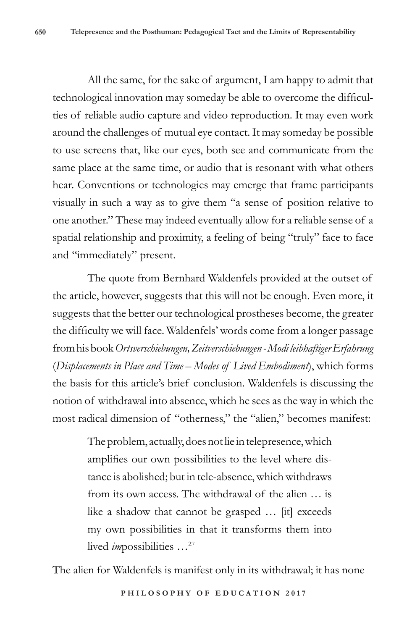All the same, for the sake of argument, I am happy to admit that technological innovation may someday be able to overcome the difficulties of reliable audio capture and video reproduction. It may even work around the challenges of mutual eye contact. It may someday be possible to use screens that, like our eyes, both see and communicate from the same place at the same time, or audio that is resonant with what others hear. Conventions or technologies may emerge that frame participants visually in such a way as to give them "a sense of position relative to one another." These may indeed eventually allow for a reliable sense of a spatial relationship and proximity, a feeling of being "truly" face to face and "immediately" present.

The quote from Bernhard Waldenfels provided at the outset of the article, however, suggests that this will not be enough. Even more, it suggests that the better our technological prostheses become, the greater the difficulty we will face. Waldenfels' words come from a longer passage from his book *Ortsverschiebungen, Zeitverschiebungen - Modi leibhaftiger Erfahrung* (*Displacements in Place and Time – Modes of Lived Embodiment*), which forms the basis for this article's brief conclusion. Waldenfels is discussing the notion of withdrawal into absence, which he sees as the way in which the most radical dimension of "otherness," the "alien," becomes manifest:

> The problem, actually, does not lie in telepresence, which amplifies our own possibilities to the level where distance is abolished; but in tele-absence, which withdraws from its own access. The withdrawal of the alien … is like a shadow that cannot be grasped … [it] exceeds my own possibilities in that it transforms them into lived *im*possibilities …27

The alien for Waldenfels is manifest only in its withdrawal; it has none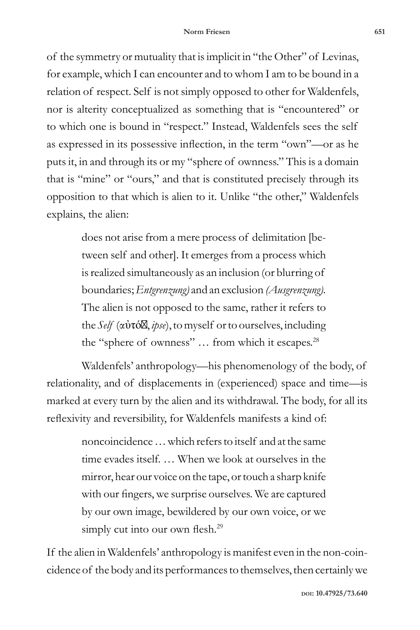of the symmetry or mutuality that is implicit in "the Other" of Levinas, for example, which I can encounter and to whom I am to be bound in a relation of respect. Self is not simply opposed to other for Waldenfels, nor is alterity conceptualized as something that is "encountered" or to which one is bound in "respect." Instead, Waldenfels sees the self as expressed in its possessive inflection, in the term "own"—or as he puts it, in and through its or my "sphere of ownness." This is a domain that is "mine" or "ours," and that is constituted precisely through its opposition to that which is alien to it. Unlike "the other," Waldenfels explains, the alien:

> does not arise from a mere process of delimitation [between self and other]. It emerges from a process which is realized simultaneously as an inclusion (or blurring of boundaries; *Entgrenzung)* and an exclusion *(Ausgrenzung).*  The alien is not opposed to the same, rather it refers to the *Self* (αὐτό , *ipse*),to myself or to ourselves, including the "sphere of ownness" ... from which it escapes.<sup>28</sup>

Waldenfels' anthropology—his phenomenology of the body, of relationality, and of displacements in (experienced) space and time—is marked at every turn by the alien and its withdrawal. The body, for all its reflexivity and reversibility, for Waldenfels manifests a kind of:

> noncoincidence … which refers to itself and at the same time evades itself. … When we look at ourselves in the mirror, hear our voice on the tape, or touch a sharp knife with our fingers, we surprise ourselves. We are captured by our own image, bewildered by our own voice, or we simply cut into our own flesh.<sup>29</sup>

If the alien in Waldenfels' anthropology is manifest even in the non-coincidence of the body and its performances to themselves, then certainly we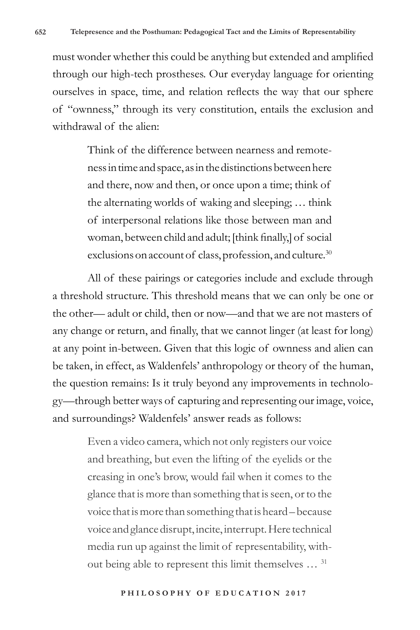must wonder whether this could be anything but extended and amplified through our high-tech prostheses. Our everyday language for orienting ourselves in space, time, and relation reflects the way that our sphere of "ownness," through its very constitution, entails the exclusion and withdrawal of the alien:

> Think of the difference between nearness and remoteness in time and space, as in the distinctions between here and there, now and then, or once upon a time; think of the alternating worlds of waking and sleeping; … think of interpersonal relations like those between man and woman, between child and adult; [think finally,] of social exclusions on account of class, profession, and culture.<sup>30</sup>

All of these pairings or categories include and exclude through a threshold structure. This threshold means that we can only be one or the other— adult or child, then or now—and that we are not masters of any change or return, and finally, that we cannot linger (at least for long) at any point in-between. Given that this logic of ownness and alien can be taken, in effect, as Waldenfels' anthropology or theory of the human, the question remains: Is it truly beyond any improvements in technology—through better ways of capturing and representing our image, voice, and surroundings? Waldenfels' answer reads as follows:

> Even a video camera, which not only registers our voice and breathing, but even the lifting of the eyelids or the creasing in one's brow, would fail when it comes to the glance that is more than something that is seen, or to the voice that is more than something that is heard – because voice and glance disrupt, incite, interrupt. Here technical media run up against the limit of representability, without being able to represent this limit themselves … <sup>31</sup>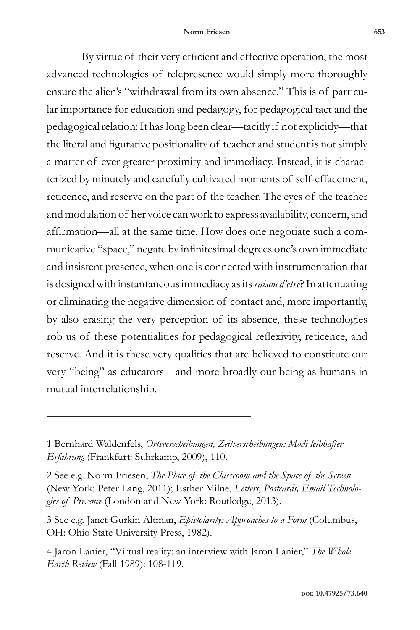By virtue of their very efficient and effective operation, the most advanced technologies of telepresence would simply more thoroughly ensure the alien's "withdrawal from its own absence." This is of particular importance for education and pedagogy, for pedagogical tact and the pedagogical relation: It has long been clear—tacitly if not explicitly—that the literal and figurative positionality of teacher and student is not simply a matter of ever greater proximity and immediacy. Instead, it is characterized by minutely and carefully cultivated moments of self-effacement, reticence, and reserve on the part of the teacher. The eyes of the teacher and modulation of her voice can work to express availability, concern, and affirmation—all at the same time. How does one negotiate such a communicative "space," negate by infinitesimal degrees one's own immediate and insistent presence, when one is connected with instrumentation that is designed with instantaneous immediacy as its *raison d'etre*? In attenuating or eliminating the negative dimension of contact and, more importantly, by also erasing the very perception of its absence, these technologies rob us of these potentialities for pedagogical reflexivity, reticence, and reserve. And it is these very qualities that are believed to constitute our very "being" as educators—and more broadly our being as humans in mutual interrelationship.

<sup>1</sup> Bernhard Waldenfels, *Ortsverscheibungen, Zeitverscheibungen: Modi leibhafter Erfahrung* (Frankfurt: Suhrkamp, 2009), 110.

<sup>2</sup> See e.g. Norm Friesen, *The Place of the Classroom and the Space of the Screen* (New York: Peter Lang, 2011); Esther Milne, *Letters, Postcards, Email Technologies of Presence* (London and New York: Routledge, 2013).

<sup>3</sup> See e.g. Janet Gurkin Altman, *Epistolarity: Approaches to a Form* (Columbus, OH: Ohio State University Press, 1982).

<sup>4</sup> Jaron Lanier, "Virtual reality: an interview with Jaron Lanier," *The Whole Earth Review* (Fall 1989): 108-119.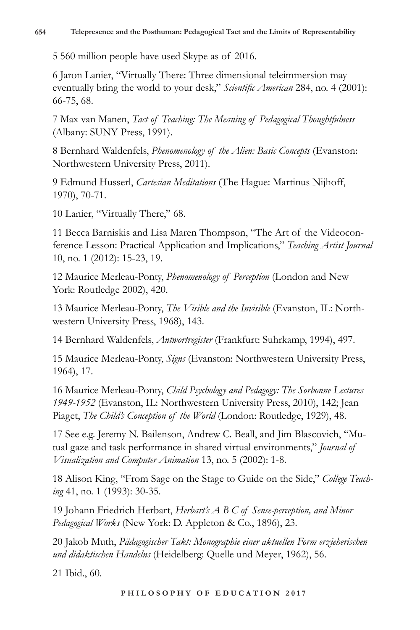5 560 million people have used Skype as of 2016.

6 Jaron Lanier, "Virtually There: Three dimensional teleimmersion may eventually bring the world to your desk," *Scientific American* 284, no. 4 (2001): 66-75, 68.

7 Max van Manen, *Tact of Teaching: The Meaning of Pedagogical Thoughtfulness* (Albany: SUNY Press, 1991).

8 Bernhard Waldenfels, *Phenomenology of the Alien: Basic Concepts* (Evanston: Northwestern University Press, 2011).

9 Edmund Husserl, *Cartesian Meditations* (The Hague: Martinus Nijhoff, 1970), 70-71.

10 Lanier, "Virtually There," 68.

11 Becca Barniskis and Lisa Maren Thompson, "The Art of the Videoconference Lesson: Practical Application and Implications," *Teaching Artist Journal* 10, no. 1 (2012): 15-23, 19.

12 Maurice Merleau-Ponty, *Phenomenology of Perception* (London and New York: Routledge 2002), 420.

13 Maurice Merleau-Ponty, *The Visible and the Invisible* (Evanston, IL: Northwestern University Press, 1968), 143.

14 Bernhard Waldenfels, *Antwortregister* (Frankfurt: Suhrkamp, 1994), 497.

15 Maurice Merleau-Ponty, *Signs* (Evanston: Northwestern University Press, 1964), 17.

16 Maurice Merleau-Ponty, *Child Psychology and Pedagogy: The Sorbonne Lectures 1949-1952* (Evanston, IL: Northwestern University Press, 2010), 142; Jean Piaget, *The Child's Conception of the World* (London: Routledge, 1929), 48.

17 See e.g. Jeremy N. Bailenson, Andrew C. Beall, and Jim Blascovich, "Mutual gaze and task performance in shared virtual environments," *Journal of Visualization and Computer Animation* 13, no. 5 (2002): 1-8.

18 Alison King, "From Sage on the Stage to Guide on the Side," *College Teaching* 41, no. 1 (1993): 30-35.

19 Johann Friedrich Herbart, *Herbart's A B C of Sense-perception, and Minor Pedagogical Works* (New York: D. Appleton & Co., 1896), 23.

20 Jakob Muth, *Pädagogischer Takt: Monographie einer aktuellen Form erzieherischen und didaktischen Handelns* (Heidelberg: Quelle und Meyer, 1962), 56.

21 Ibid., 60.